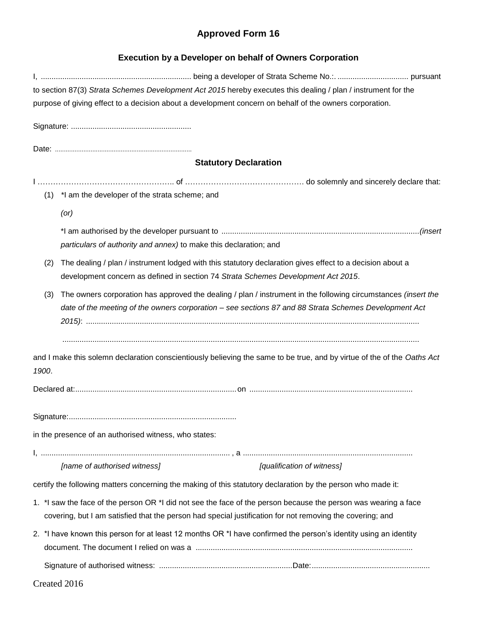## **Approved Form 16**

| <b>Execution by a Developer on behalf of Owners Corporation</b>                                         |                                                                                                                         |
|---------------------------------------------------------------------------------------------------------|-------------------------------------------------------------------------------------------------------------------------|
|                                                                                                         |                                                                                                                         |
|                                                                                                         | to section 87(3) Strata Schemes Development Act 2015 hereby executes this dealing / plan / instrument for the           |
| purpose of giving effect to a decision about a development concern on behalf of the owners corporation. |                                                                                                                         |
|                                                                                                         |                                                                                                                         |
|                                                                                                         |                                                                                                                         |
|                                                                                                         | <b>Statutory Declaration</b>                                                                                            |
|                                                                                                         |                                                                                                                         |
|                                                                                                         | (1) *I am the developer of the strata scheme; and                                                                       |
|                                                                                                         | (or)                                                                                                                    |
|                                                                                                         |                                                                                                                         |
|                                                                                                         | particulars of authority and annex) to make this declaration; and                                                       |
| (2)                                                                                                     | The dealing / plan / instrument lodged with this statutory declaration gives effect to a decision about a               |
|                                                                                                         | development concern as defined in section 74 Strata Schemes Development Act 2015.                                       |
| (3)                                                                                                     | The owners corporation has approved the dealing / plan / instrument in the following circumstances (insert the          |
|                                                                                                         | date of the meeting of the owners corporation - see sections 87 and 88 Strata Schemes Development Act                   |
|                                                                                                         |                                                                                                                         |
| 1900.                                                                                                   | and I make this solemn declaration conscientiously believing the same to be true, and by virtue of the of the Oaths Act |
|                                                                                                         |                                                                                                                         |
|                                                                                                         |                                                                                                                         |
|                                                                                                         | in the presence of an authorised witness, who states:                                                                   |
|                                                                                                         |                                                                                                                         |
|                                                                                                         | [name of authorised witness]<br>[qualification of witness]                                                              |
|                                                                                                         | certify the following matters concerning the making of this statutory declaration by the person who made it:            |
|                                                                                                         | 1. *I saw the face of the person OR *I did not see the face of the person because the person was wearing a face         |
|                                                                                                         | covering, but I am satisfied that the person had special justification for not removing the covering; and               |
|                                                                                                         | 2. *I have known this person for at least 12 months OR *I have confirmed the person's identity using an identity        |
|                                                                                                         |                                                                                                                         |
|                                                                                                         |                                                                                                                         |